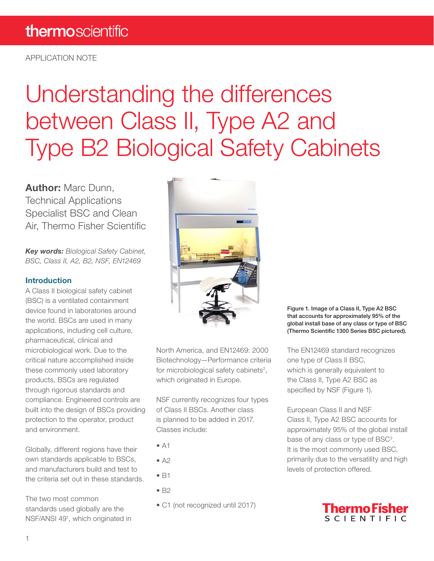APPLICATION NOTE

# Understanding the differences between Class II, Type A2 and Type B2 Biological Safety Cabinets

Author: Marc Dunn, Technical Applications Specialist BSC and Clean Air, Thermo Fisher Scientific

*Key words: Biological Safety Cabinet, BSC, Class II, A2, B2, NSF, EN12469*

#### Introduction

A Class II biological safety cabinet (BSC) is a ventilated containment device found in laboratories around the world. BSCs are used in many applications, including cell culture, pharmaceutical, clinical and microbiological work. Due to the critical nature accomplished inside these commonly used laboratory products, BSCs are regulated through rigorous standards and compliance. Engineered controls are built into the design of BSCs providing protection to the operator, product and environment.

Globally, different regions have their own standards applicable to BSCs, and manufacturers build and test to the criteria set out in these standards.

The two most common standards used globally are the NSF/ANSI 49<sup>1</sup>, which originated in



North America, and EN12469: 2000 Biotechnology—Performance criteria for microbiological safety cabinets<sup>2</sup>, which originated in Europe.

NSF currently recognizes four types of Class II BSCs. Another class is planned to be added in 2017. Classes include:

- $\bullet$  A1
- $\bullet$  A<sub>2</sub>
- B1
- B2
- C1 (not recognized until 2017)

Figure 1. Image of a Class II, Type A2 BSC that accounts for approximately 95% of the global install base of any class or type of BSC (Thermo Scientific 1300 Series BSC pictured).

The EN12469 standard recognizes one type of Class II BSC, which is generally equivalent to the Class II, Type A2 BSC as specified by NSF (Figure 1).

European Class II and NSF Class II, Type A2 BSC accounts for approximately 95% of the global install base of any class or type of BSC<sup>3</sup>. It is the most commonly used BSC, primarily due to the versatility and high levels of protection offered.

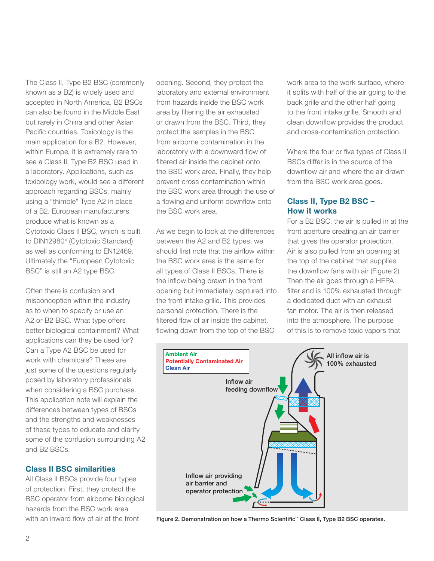The Class II, Type B2 BSC (commonly known as a B2) is widely used and accepted in North America. B2 BSCs can also be found in the Middle East but rarely in China and other Asian Pacific countries. Toxicology is the main application for a B2. However, within Europe, it is extremely rare to see a Class II, Type B2 BSC used in a laboratory. Applications, such as toxicology work, would see a different approach regarding BSCs, mainly using a "thimble" Type A2 in place of a B2. European manufacturers produce what is known as a Cytotoxic Class II BSC, which is built to DIN129804 (Cytotoxic Standard) as well as conforming to EN12469. Ultimately the "European Cytotoxic BSC" is still an A2 type BSC.

Often there is confusion and misconception within the industry as to when to specify or use an A2 or B2 BSC. What type offers better biological containment? What applications can they be used for? Can a Type A2 BSC be used for work with chemicals? These are just some of the questions regularly posed by laboratory professionals when considering a BSC purchase. This application note will explain the differences between types of BSCs and the strengths and weaknesses of these types to educate and clarify some of the confusion surrounding A2 and B2 BSCs.

#### Class II BSC similarities

All Class II BSCs provide four types of protection. First, they protect the BSC operator from airborne biological hazards from the BSC work area with an inward flow of air at the front

opening. Second, they protect the laboratory and external environment from hazards inside the BSC work area by filtering the air exhausted or drawn from the BSC. Third, they protect the samples in the BSC from airborne contamination in the laboratory with a downward flow of filtered air inside the cabinet onto the BSC work area. Finally, they help prevent cross contamination within the BSC work area through the use of a flowing and uniform downflow onto the BSC work area.

As we begin to look at the differences between the A2 and B2 types, we should first note that the airflow within the BSC work area is the same for all types of Class II BSCs. There is the inflow being drawn in the front opening but immediately captured into the front intake grille. This provides personal protection. There is the filtered flow of air inside the cabinet, flowing down from the top of the BSC

work area to the work surface, where it splits with half of the air going to the back grille and the other half going to the front intake grille. Smooth and clean downflow provides the product and cross-contamination protection.

Where the four or five types of Class II BSCs differ is in the source of the downflow air and where the air drawn from the BSC work area goes.

## Class II, Type B2 BSC – How it works

For a B2 BSC, the air is pulled in at the front aperture creating an air barrier that gives the operator protection. Air is also pulled from an opening at the top of the cabinet that supplies the downflow fans with air (Figure 2). Then the air goes through a HEPA filter and is 100% exhausted through a dedicated duct with an exhaust fan motor. The air is then released into the atmosphere. The purpose of this is to remove toxic vapors that



Figure 2. Demonstration on how a Thermo Scientific™ Class II, Type B2 BSC operates.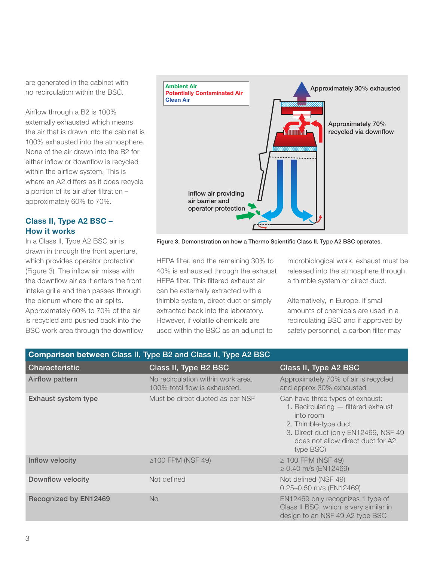are generated in the cabinet with no recirculation within the BSC.

Airflow through a B2 is 100% externally exhausted which means the air that is drawn into the cabinet is 100% exhausted into the atmosphere. None of the air drawn into the B2 for either inflow or downflow is recycled within the airflow system. This is where an A2 differs as it does recycle a portion of its air after filtration – approximately 60% to 70%.

## Class II, Type A2 BSC – How it works

In a Class II, Type A2 BSC air is drawn in through the front aperture, which provides operator protection (Figure 3). The inflow air mixes with the downflow air as it enters the front intake grille and then passes through the plenum where the air splits. Approximately 60% to 70% of the air is recycled and pushed back into the BSC work area through the downflow



Figure 3. Demonstration on how a Thermo Scientific Class II, Type A2 BSC operates.

HEPA filter, and the remaining 30% to 40% is exhausted through the exhaust HEPA filter. This filtered exhaust air can be externally extracted with a thimble system, direct duct or simply extracted back into the laboratory. However, if volatile chemicals are used within the BSC as an adjunct to

microbiological work, exhaust must be released into the atmosphere through a thimble system or direct duct.

Alternatively, in Europe, if small amounts of chemicals are used in a recirculating BSC and if approved by safety personnel, a carbon filter may

| Comparison between Class II, Type B2 and Class II, Type A2 BSC |                                                                     |                                                                                                                                                                                                        |
|----------------------------------------------------------------|---------------------------------------------------------------------|--------------------------------------------------------------------------------------------------------------------------------------------------------------------------------------------------------|
| <b>Characteristic</b>                                          | Class II, Type B2 BSC                                               | Class II, Type A2 BSC                                                                                                                                                                                  |
| Airflow pattern                                                | No recirculation within work area.<br>100% total flow is exhausted. | Approximately 70% of air is recycled<br>and approx 30% exhausted                                                                                                                                       |
| <b>Exhaust system type</b>                                     | Must be direct ducted as per NSF                                    | Can have three types of exhaust:<br>1. Recirculating - filtered exhaust<br>into room<br>2. Thimble-type duct<br>3. Direct duct (only EN12469, NSF 49<br>does not allow direct duct for A2<br>type BSC) |
| Inflow velocity                                                | $\geq$ 100 FPM (NSF 49)                                             | $\geq$ 100 FPM (NSF 49)<br>$\geq$ 0.40 m/s (EN12469)                                                                                                                                                   |
| <b>Downflow velocity</b>                                       | Not defined                                                         | Not defined (NSF 49)<br>0.25-0.50 m/s (EN12469)                                                                                                                                                        |
| Recognized by EN12469                                          | <b>No</b>                                                           | EN12469 only recognizes 1 type of<br>Class II BSC, which is very similar in<br>design to an NSF 49 A2 type BSC                                                                                         |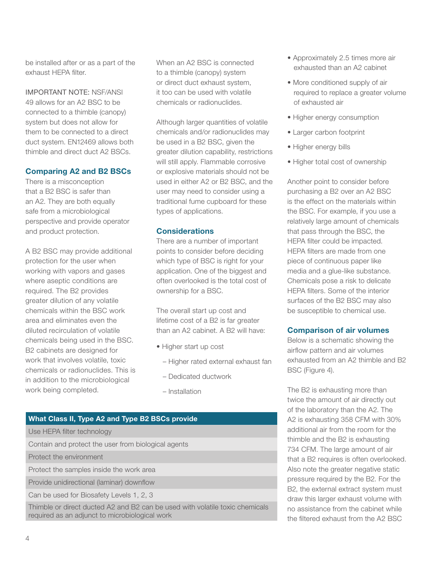be installed after or as a part of the exhaust HEPA filter.

IMPORTANT NOTE: NSF/ANSI 49 allows for an A2 BSC to be connected to a thimble (canopy) system but does not allow for them to be connected to a direct duct system. EN12469 allows both thimble and direct duct A2 BSCs.

# Comparing A2 and B2 BSCs

There is a misconception that a B2 BSC is safer than an A2. They are both equally safe from a microbiological perspective and provide operator and product protection.

A B2 BSC may provide additional protection for the user when working with vapors and gases where aseptic conditions are required. The B2 provides greater dilution of any volatile chemicals within the BSC work area and eliminates even the diluted recirculation of volatile chemicals being used in the BSC. B2 cabinets are designed for work that involves volatile, toxic chemicals or radionuclides. This is in addition to the microbiological work being completed.

When an A2 BSC is connected to a thimble (canopy) system or direct duct exhaust system, it too can be used with volatile chemicals or radionuclides.

Although larger quantities of volatile chemicals and/or radionuclides may be used in a B2 BSC, given the greater dilution capability, restrictions will still apply. Flammable corrosive or explosive materials should not be used in either A2 or B2 BSC, and the user may need to consider using a traditional fume cupboard for these types of applications.

#### **Considerations**

There are a number of important points to consider before deciding which type of BSC is right for your application. One of the biggest and often overlooked is the total cost of ownership for a BSC.

The overall start up cost and lifetime cost of a B2 is far greater than an A2 cabinet. A B2 will have:

- Higher start up cost
	- Higher rated external exhaust fan
	- Dedicated ductwork
	- Installation

# What Class II, Type A2 and Type B2 BSCs provide

Use HEPA filter technology

Contain and protect the user from biological agents

Protect the environment

Protect the samples inside the work area

Provide unidirectional (laminar) downflow

Can be used for Biosafety Levels 1, 2, 3

Thimble or direct ducted A2 and B2 can be used with volatile toxic chemicals required as an adjunct to microbiological work

- Approximately 2.5 times more air exhausted than an A2 cabinet
- More conditioned supply of air required to replace a greater volume of exhausted air
- Higher energy consumption
- Larger carbon footprint
- Higher energy bills
- Higher total cost of ownership

Another point to consider before purchasing a B2 over an A2 BSC is the effect on the materials within the BSC. For example, if you use a relatively large amount of chemicals that pass through the BSC, the HEPA filter could be impacted. HEPA filters are made from one piece of continuous paper like media and a glue-like substance. Chemicals pose a risk to delicate HEPA filters. Some of the interior surfaces of the B2 BSC may also be susceptible to chemical use.

#### Comparison of air volumes

Below is a schematic showing the airflow pattern and air volumes exhausted from an A2 thimble and B2 BSC (Figure 4).

The B2 is exhausting more than twice the amount of air directly out of the laboratory than the A2. The A2 is exhausting 358 CFM with 30% additional air from the room for the thimble and the B2 is exhausting 734 CFM. The large amount of air that a B2 requires is often overlooked. Also note the greater negative static pressure required by the B2. For the B2, the external extract system must draw this larger exhaust volume with no assistance from the cabinet while the filtered exhaust from the A2 BSC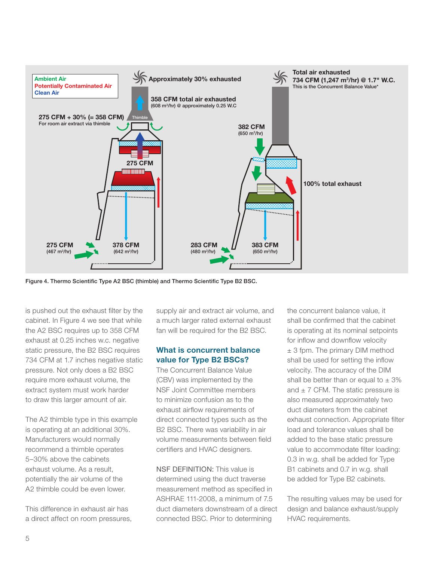

Figure 4. Thermo Scientific Type A2 BSC (thimble) and Thermo Scientific Type B2 BSC.

is pushed out the exhaust filter by the cabinet. In Figure 4 we see that while the A2 BSC requires up to 358 CFM exhaust at 0.25 inches w.c. negative static pressure, the B2 BSC requires 734 CFM at 1.7 inches negative static pressure. Not only does a B2 BSC require more exhaust volume, the extract system must work harder to draw this larger amount of air.

The A2 thimble type in this example is operating at an additional 30%. Manufacturers would normally recommend a thimble operates 5–30% above the cabinets exhaust volume. As a result, potentially the air volume of the A2 thimble could be even lower.

This difference in exhaust air has a direct affect on room pressures, supply air and extract air volume, and a much larger rated external exhaust fan will be required for the B2 BSC.

#### What is concurrent balance value for Type B2 BSCs?

The Concurrent Balance Value (CBV) was implemented by the NSF Joint Committee members to minimize confusion as to the exhaust airflow requirements of direct connected types such as the B2 BSC. There was variability in air volume measurements between field certifiers and HVAC designers.

NSF DEFINITION: This value is determined using the duct traverse measurement method as specified in ASHRAE 111-2008, a minimum of 7.5 duct diameters downstream of a direct connected BSC. Prior to determining

the concurrent balance value, it shall be confirmed that the cabinet is operating at its nominal setpoints for inflow and downflow velocity ± 3 fpm. The primary DIM method shall be used for setting the inflow velocity. The accuracy of the DIM shall be better than or equal to  $\pm$  3% and  $\pm$  7 CFM. The static pressure is also measured approximately two duct diameters from the cabinet exhaust connection. Appropriate filter load and tolerance values shall be added to the base static pressure value to accommodate filter loading: 0.3 in w.g. shall be added for Type B1 cabinets and 0.7 in w.g. shall be added for Type B2 cabinets.

The resulting values may be used for design and balance exhaust/supply HVAC requirements.